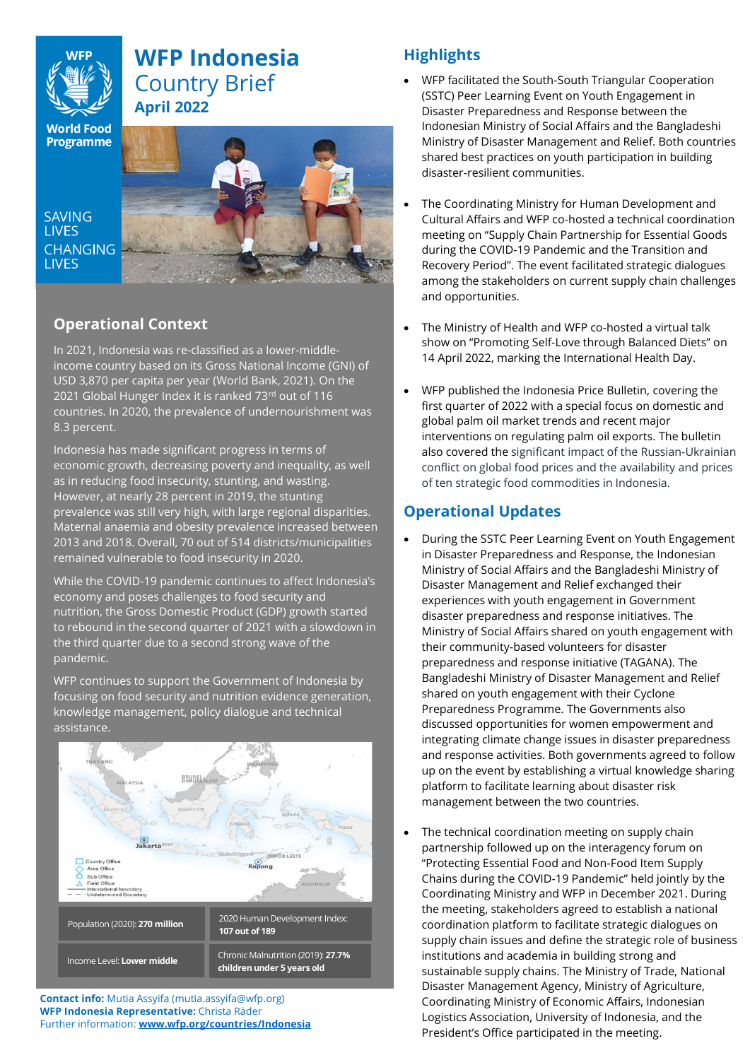# **WFP Indonesia** Country Brief **April 2022**

**World Food Programme** 

SAVING **LIVES CHANGING LIVES** 



## **Operational Context**

In 2021, Indonesia was re-classified as a lower-middleincome country based on its Gross National Income (GNI) of USD 3,870 per capita per year (World Bank, 2021). On the 2021 Global Hunger Index it is ranked 73rd out of 116 countries. In 2020, the prevalence of undernourishment was 8.3 percent.

Indonesia has made significant progress in terms of economic growth, decreasing poverty and inequality, as well as in reducing food insecurity, stunting, and wasting. However, at nearly 28 percent in 2019, the stunting prevalence was still very high, with large regional disparities. Maternal anaemia and obesity prevalence increased between 2013 and 2018. Overall, 70 out of 514 districts/municipalities remained vulnerable to food insecurity in 2020.

While the COVID-19 pandemic continues to affect Indonesia's economy and poses challenges to food security and nutrition, the Gross Domestic Product (GDP) growth started to rebound in the second quarter of 2021 with a slowdown in the third quarter due to a second strong wave of the pandemic.

WFP continues to support the Government of Indonesia by focusing on food security and nutrition evidence generation, knowledge management, policy dialogue and technical assistance.



**Contact info:** Mutia Assyifa (mutia.assyifa@wfp.org) **WFP Indonesia Representative:** Christa Räder Further information: **[www.wfp.org/countries/Indonesia](http://www.wfp.org/countries/Indonesia)**

# **Highlights**

- WFP facilitated the South-South Triangular Cooperation (SSTC) Peer Learning Event on Youth Engagement in Disaster Preparedness and Response between the Indonesian Ministry of Social Affairs and the Bangladeshi Ministry of Disaster Management and Relief. Both countries shared best practices on youth participation in building disaster-resilient communities.
- The Coordinating Ministry for Human Development and Cultural Affairs and WFP co-hosted a technical coordination meeting on "Supply Chain Partnership for Essential Goods during the COVID-19 Pandemic and the Transition and Recovery Period". The event facilitated strategic dialogues among the stakeholders on current supply chain challenges and opportunities.
- The Ministry of Health and WFP co-hosted a virtual talk show on "Promoting Self-Love through Balanced Diets" on 14 April 2022, marking the International Health Day.
- WFP published the Indonesia Price Bulletin, covering the first quarter of 2022 with a special focus on domestic and global palm oil market trends and recent major interventions on regulating palm oil exports. The bulletin also covered the significant impact of the Russian-Ukrainian conflict on global food prices and the availability and prices of ten strategic food commodities in Indonesia.

## **Operational Updates**

- During the SSTC Peer Learning Event on Youth Engagement in Disaster Preparedness and Response, the Indonesian Ministry of Social Affairs and the Bangladeshi Ministry of Disaster Management and Relief exchanged their experiences with youth engagement in Government disaster preparedness and response initiatives. The Ministry of Social Affairs shared on youth engagement with their community-based volunteers for disaster preparedness and response initiative (TAGANA). The Bangladeshi Ministry of Disaster Management and Relief shared on youth engagement with their Cyclone Preparedness Programme. The Governments also discussed opportunities for women empowerment and integrating climate change issues in disaster preparedness and response activities. Both governments agreed to follow up on the event by establishing a virtual knowledge sharing platform to facilitate learning about disaster risk management between the two countries.
- The technical coordination meeting on supply chain partnership followed up on the interagency forum on "Protecting Essential Food and Non-Food Item Supply Chains during the COVID-19 Pandemic" held jointly by the Coordinating Ministry and WFP in December 2021. During the meeting, stakeholders agreed to establish a national coordination platform to facilitate strategic dialogues on supply chain issues and define the strategic role of business institutions and academia in building strong and sustainable supply chains. The Ministry of Trade, National Disaster Management Agency, Ministry of Agriculture, Coordinating Ministry of Economic Affairs, Indonesian Logistics Association, University of Indonesia, and the President's Office participated in the meeting.